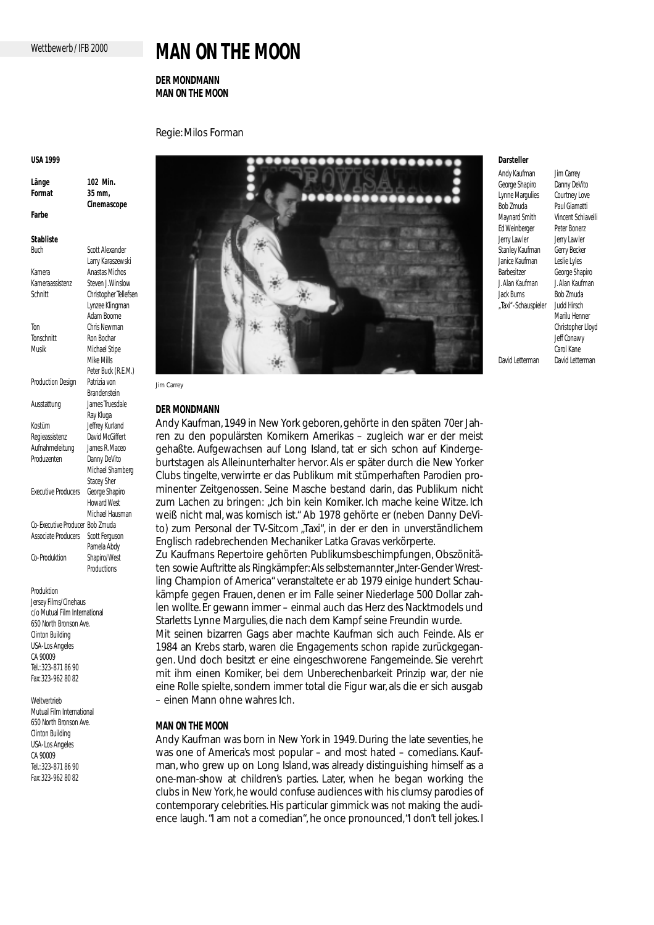# **MAN ON THE MOON**

# **DER MONDMANN MAN ON THE MOON**

Regie: Milos Forman

#### **USA 1999**

**Länge 102 Min. Format 35 mm, Cinemascope Farbe**

**Stabliste**

| Buch                       | Scott Alexander       |
|----------------------------|-----------------------|
|                            | Larry Karaszewski     |
| Kamera                     | <b>Anastas Michos</b> |
| Kameraassistenz            | Steven I Winslow      |
| Schnitt                    | Christopher Tellefsen |
|                            | Lynzee Klingman       |
|                            | Adam Boome            |
| Ton                        | Chris Newman          |
| Tonschnitt                 | Ron Bochar            |
| Musik                      | Michael Stipe         |
|                            | Mike Mills            |
|                            | Peter Buck (R.E.M.)   |
| Production Design          | Patrizia von          |
|                            | <b>Brandenstein</b>   |
| Ausstattung                | lames Truesdale       |
|                            | Ray Kluga             |
| Kostüm                     | Jeffrey Kurland       |
| Regieassistenz             | David McGiffert       |
| Aufnahmeleitung            | James R Maceo         |
| Produzenten                | Danny DeVito          |
|                            | Michael Shamberg      |
|                            | <b>Stacey Sher</b>    |
| <b>Executive Producers</b> | George Shapiro        |
|                            | Howard West           |
|                            | Michael Hausman       |
| Co-Executive Producer      | <b>Bob Zmuda</b>      |
| Associate Producers        | Scott Ferguson        |
|                            | Pamela Abdy           |
| Co-Produktion              | Shapiro/West          |
|                            | Productions           |

**Produktion** 

Jersey Films/Cinehaus c/o Mutual Film International 650 North Bronson Ave. Clinton Building USA-Los Angeles CA 90009 Tel.: 323-871 86 90 Fax: 323-962 80 82

Weltvertrieb Mutual Film International 650 North Bronson Ave. Clinton Building USA-Los Angeles CA 90009 Tel.: 323-871 86 90 Fax: 323-962 80 82



## **DER MONDMANN**

Andy Kaufman, 1949 in New York geboren, gehörte in den späten 70er Jahren zu den populärsten Komikern Amerikas – zugleich war er der meist gehaßte. Aufgewachsen auf Long Island, tat er sich schon auf Kindergeburtstagen als Alleinunterhalter hervor. Als er später durch die New Yorker Clubs tingelte, verwirrte er das Publikum mit stümperhaften Parodien prominenter Zeitgenossen. Seine Masche bestand darin, das Publikum *nicht* zum Lachen zu bringen: "Ich bin kein Komiker. Ich mache keine Witze. Ich weiß nicht mal, was komisch ist." Ab 1978 gehörte er (neben Danny DeVito) zum Personal der TV-Sitcom "Taxi", in der er den in unverständlichem Englisch radebrechenden Mechaniker Latka Gravas verkörperte.

Zu Kaufmans Repertoire gehörten Publikumsbeschimpfungen, Obszönitäten sowie Auftritte als Ringkämpfer: Als selbsternannter Inter-Gender Wrestling Champion of America" veranstaltete er ab 1979 einige hundert Schaukämpfe gegen Frauen, denen er im Falle seiner Niederlage 500 Dollar zahlen wollte. Er gewann immer – einmal auch das Herz des Nacktmodels und Starletts Lynne Margulies, die nach dem Kampf seine Freundin wurde. Mit seinen bizarren Gags aber machte Kaufman sich auch Feinde. Als er

1984 an Krebs starb, waren die Engagements schon rapide zurückgegangen. Und doch besitzt er eine eingeschworene Fangemeinde. Sie verehrt mit ihm einen Komiker, bei dem Unberechenbarkeit Prinzip war, der nie eine Rolle spielte, sondern immer total die Figur war, als die er sich ausgab – einen Mann ohne wahres Ich.

## **MAN ON THE MOON**

Andy Kaufman was born in New York in 1949. During the late seventies, he was one of America's most popular – and most hated – comedians. Kaufman, who grew up on Long Island, was already distinguishing himself as a one-man-show at children's parties. Later, when he began working the clubs in New York, he would confuse audiences with his clumsy parodies of contemporary celebrities. His particular gimmick was *not* making the audience laugh. "I am not a comedian", he once pronounced,"I don't tell jokes. I

## **Darsteller**

George Shapiro Danny DeVito<br>Lynne Marqulies Courtney Love Lynne Margulies Bob Zmuda Paul Giamatti Maynard Smith Vincent Schiavelli Ed Weinberger Peter Bonerz Jerry Lawler **Jerry Lawler** Stanley Kaufman Gerry Becker Janice Kaufman Leslie Lyles J. Alan Kaufman J. Alan Kaufman Jack Burns Bob Zmuda<br>Taxi"-Schauspieler Judd Hirsch . Taxi"-Schauspieler David Letterman David Letterman

Andy Kaufman Jim Carrey George Shapiro Marilu Henner Christopher Lloyd Jeff Conawy Carol Kane